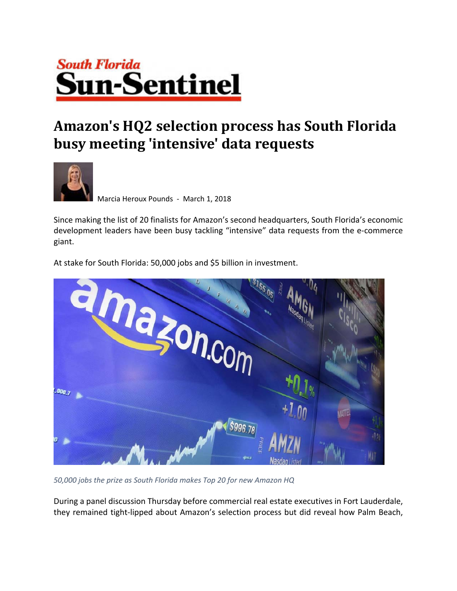## **South Florida Sun-Sentinel**

## **Amazon's HQ2 selection process has South Florida busy meeting 'intensive' data requests**



Marcia Heroux Pounds ‐ March 1, 2018

Since making the list of 20 finalists for Amazon's second headquarters, South Florida's economic development leaders have been busy tackling "intensive" data requests from the e‐commerce giant.

At stake for South Florida: 50,000 jobs and \$5 billion in investment.



*50,000 jobs the prize as South Florida makes Top 20 for new Amazon HQ*

During a panel discussion Thursday before commercial real estate executives in Fort Lauderdale, they remained tight‐lipped about Amazon's selection process but did reveal how Palm Beach,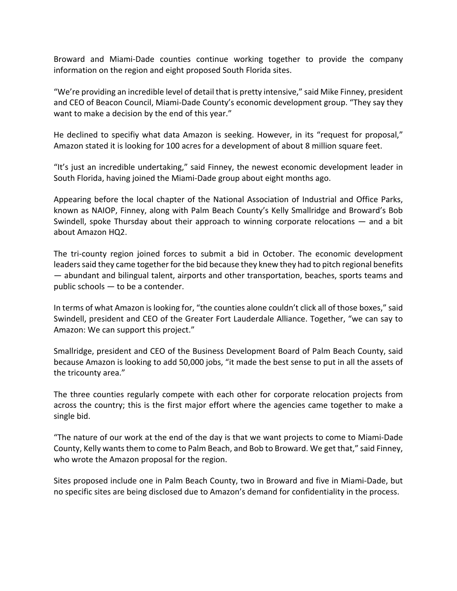Broward and Miami‐Dade counties continue working together to provide the company information on the region and eight proposed South Florida sites.

"We're providing an incredible level of detail that is pretty intensive," said Mike Finney, president and CEO of Beacon Council, Miami‐Dade County's economic development group. "They say they want to make a decision by the end of this year."

He declined to specifiy what data Amazon is seeking. However, in its "request for proposal," Amazon stated it is looking for 100 acres for a development of about 8 million square feet.

"It's just an incredible undertaking," said Finney, the newest economic development leader in South Florida, having joined the Miami‐Dade group about eight months ago.

Appearing before the local chapter of the National Association of Industrial and Office Parks, known as NAIOP, Finney, along with Palm Beach County's Kelly Smallridge and Broward's Bob Swindell, spoke Thursday about their approach to winning corporate relocations — and a bit about Amazon HQ2.

The tri-county region joined forces to submit a bid in October. The economic development leaders said they came together for the bid because they knew they had to pitch regional benefits — abundant and bilingual talent, airports and other transportation, beaches, sports teams and public schools — to be a contender.

In terms of what Amazon is looking for, "the counties alone couldn't click all of those boxes," said Swindell, president and CEO of the Greater Fort Lauderdale Alliance. Together, "we can say to Amazon: We can support this project."

Smallridge, president and CEO of the Business Development Board of Palm Beach County, said because Amazon is looking to add 50,000 jobs, "it made the best sense to put in all the assets of the tricounty area."

The three counties regularly compete with each other for corporate relocation projects from across the country; this is the first major effort where the agencies came together to make a single bid.

"The nature of our work at the end of the day is that we want projects to come to Miami‐Dade County, Kelly wants them to come to Palm Beach, and Bob to Broward. We get that," said Finney, who wrote the Amazon proposal for the region.

Sites proposed include one in Palm Beach County, two in Broward and five in Miami‐Dade, but no specific sites are being disclosed due to Amazon's demand for confidentiality in the process.